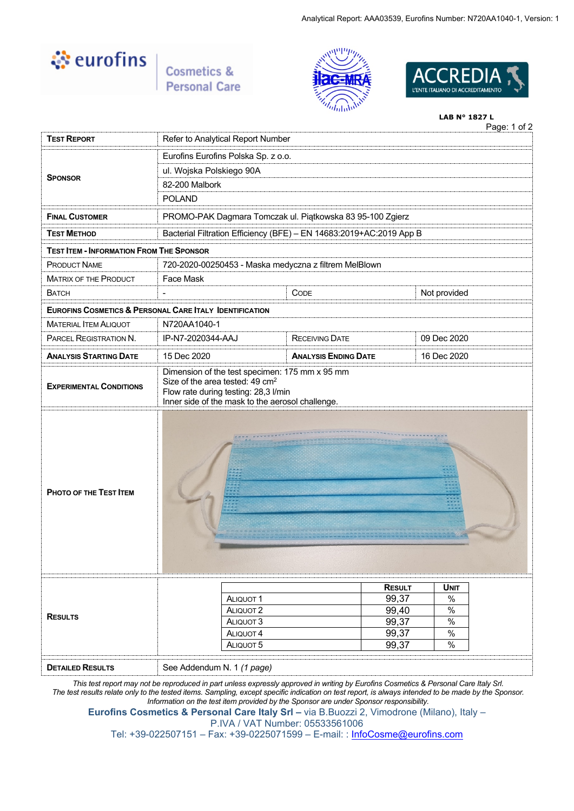

**Cosmetics &<br>Personal Care** 





#### Page: 1 of 2 **LAB N° 1827 L**

| <b>TEST REPORT</b>                              | Page. Torz<br>Refer to Analytical Report Number                                                                                         |                                                                     |               |              |  |  |
|-------------------------------------------------|-----------------------------------------------------------------------------------------------------------------------------------------|---------------------------------------------------------------------|---------------|--------------|--|--|
|                                                 | Eurofins Eurofins Polska Sp. z o.o.                                                                                                     |                                                                     |               |              |  |  |
|                                                 | ul. Wojska Polskiego 90A                                                                                                                |                                                                     |               |              |  |  |
| <b>SPONSOR</b>                                  | 82-200 Malbork                                                                                                                          |                                                                     |               |              |  |  |
|                                                 | <b>POLAND</b>                                                                                                                           |                                                                     |               |              |  |  |
| <b>FINAL CUSTOMER</b>                           |                                                                                                                                         | PROMO-PAK Dagmara Tomczak ul. Piątkowska 83 95-100 Zgierz           |               |              |  |  |
| <b>TEST METHOD</b>                              |                                                                                                                                         | Bacterial Filtration Efficiency (BFE) - EN 14683:2019+AC:2019 App B |               |              |  |  |
| <b>TEST ITEM - INFORMATION FROM THE SPONSOR</b> |                                                                                                                                         |                                                                     |               |              |  |  |
| <b>PRODUCT NAME</b>                             |                                                                                                                                         | 720-2020-00250453 - Maska medyczna z filtrem MelBlown               |               |              |  |  |
| <b>MATRIX OF THE PRODUCT</b>                    | Face Mask                                                                                                                               |                                                                     |               |              |  |  |
| BATCH                                           | $\overline{a}$                                                                                                                          | CODE                                                                |               | Not provided |  |  |
|                                                 | <b>EUROFINS COSMETICS &amp; PERSONAL CARE ITALY IDENTIFICATION</b>                                                                      |                                                                     |               |              |  |  |
| <b>MATERIAL ITEM ALIQUOT</b>                    | N720AA1040-1                                                                                                                            |                                                                     |               |              |  |  |
| PARCEL REGISTRATION N.                          | IP-N7-2020344-AAJ                                                                                                                       | <b>RECEIVING DATE</b>                                               |               | 09 Dec 2020  |  |  |
| <b>ANALYSIS STARTING DATE</b>                   | 15 Dec 2020<br>16 Dec 2020<br><b>ANALYSIS ENDING DATE</b>                                                                               |                                                                     |               |              |  |  |
| <b>EXPERIMENTAL CONDITIONS</b>                  | Size of the area tested: 49 cm <sup>2</sup><br>Flow rate during testing: 28,3 l/min<br>Inner side of the mask to the aerosol challenge. |                                                                     |               |              |  |  |
| PHOTO OF THE TEST ITEM                          |                                                                                                                                         |                                                                     |               |              |  |  |
|                                                 |                                                                                                                                         |                                                                     | <b>RESULT</b> | <b>UNIT</b>  |  |  |
| <b>RESULTS</b>                                  | ALIQUOT <sub>1</sub>                                                                                                                    |                                                                     | 99,37         | %            |  |  |
|                                                 | ALIQUOT <sub>2</sub><br>ALIQUOT 3                                                                                                       | 99,40<br>99,37                                                      | %<br>%        |              |  |  |
|                                                 | ALIQUOT <sub>4</sub>                                                                                                                    | 99,37                                                               | %             |              |  |  |
|                                                 |                                                                                                                                         |                                                                     |               |              |  |  |
|                                                 | ALIQUOT 5                                                                                                                               |                                                                     | 99,37         | $\%$         |  |  |
| <b>DETAILED RESULTS</b>                         | See Addendum N. 1 (1 page)                                                                                                              |                                                                     |               |              |  |  |

*The test results relate only to the tested items. Sampling, except specific indication on test report, is always intended to be made by the Sponsor. Information on the test item provided by the Sponsor are under Sponsor responsibility.*

**Eurofins Cosmetics & Personal Care Italy Srl –** via B.Buozzi 2, Vimodrone (Milano), Italy – P.IVA / VAT Number: 05533561006

Tel: +39-022507151 – Fax: +39-0225071599 – E-mail: : [InfoCosme@eurofins.com](mailto:InfoCosme@eurofins.com)